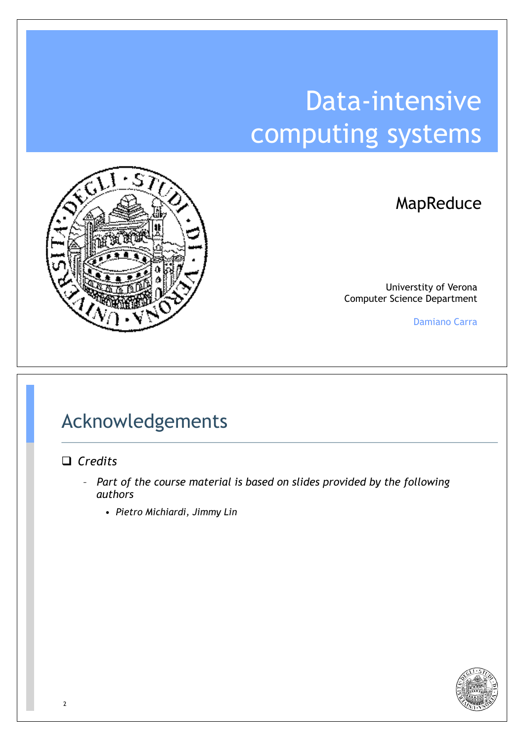# Data-intensive computing systems



MapReduce

Universtity of Verona Computer Science Department

Damiano Carra

#### Acknowledgements

#### □ *Credits*

- *Part of the course material is based on slides provided by the following authors*
	- *Pietro Michiardi, Jimmy Lin*

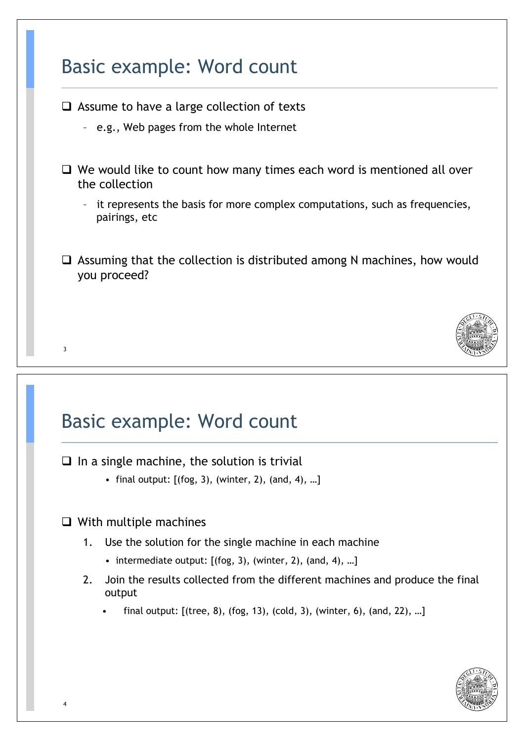### Basic example: Word count

- $\Box$  Assume to have a large collection of texts
	- e.g., Web pages from the whole Internet
- $\Box$  We would like to count how many times each word is mentioned all over the collection
	- it represents the basis for more complex computations, such as frequencies, pairings, etc
- $\Box$  Assuming that the collection is distributed among N machines, how would you proceed?



#### Basic example: Word count

 $\Box$  In a single machine, the solution is trivial

- final output: [(fog, 3), (winter, 2), (and, 4), …]
- $\Box$  With multiple machines
	- 1. Use the solution for the single machine in each machine
		- intermediate output: [(fog, 3), (winter, 2), (and, 4), …]
	- 2. Join the results collected from the different machines and produce the final output
		- final output:  $[(tree, 8), (fog, 13), (cold, 3), (winter, 6), (and, 22), ...]$

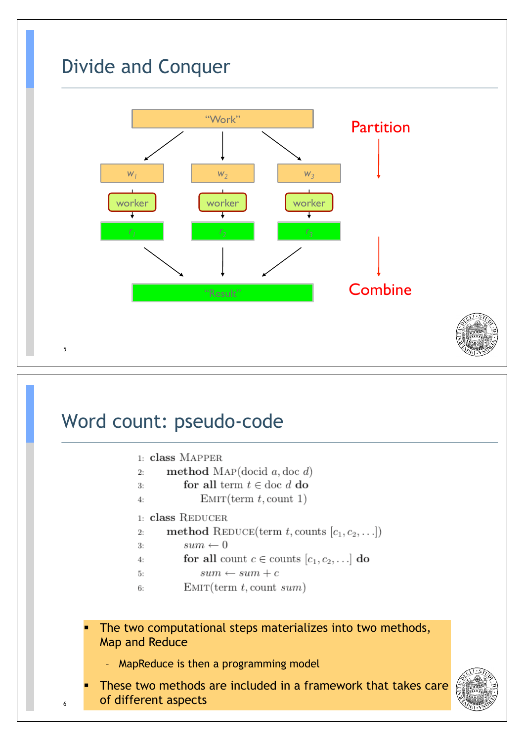

### Word count: pseudo-code

| 1: class MAPPER |
|-----------------|
|                 |

```
method MAP(docid a, doc d)
2:
```
- $3:$ for all term  $t \in \text{doc } d$  do
- $EMIT(term t, count 1)$  $4:$

#### 1: class REDUCER

method REDUCE(term t, counts  $[c_1, c_2, \ldots]$ )  $2:$ 

```
sum \leftarrow 03:
```
- for all count  $c \in \text{counts} [c_1, c_2, \ldots]$  do  $4:$
- $sum \leftarrow sum + c$ 5:
- $EMIT(term t, count sum)$ 6:
- The two computational steps materializes into two methods, Map and Reduce
	- MapReduce is then a programming model
- These two methods are included in a framework that takes care of different aspects

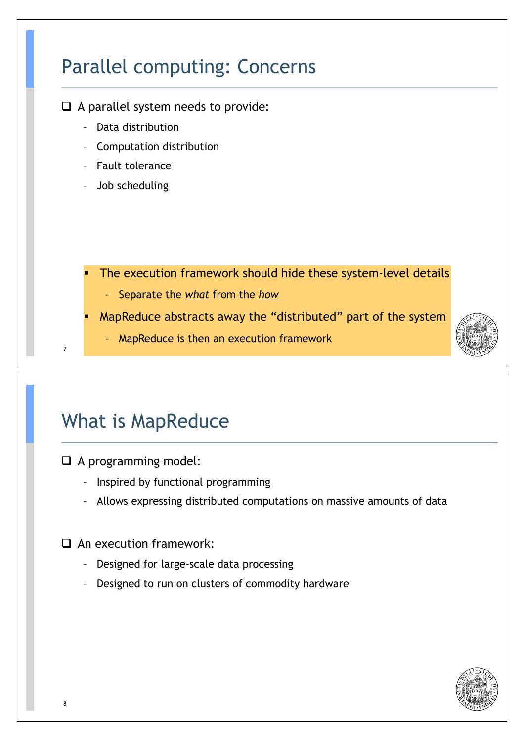# Parallel computing: Concerns

- $\Box$  A parallel system needs to provide:
	- Data distribution
	- Computation distribution
	- Fault tolerance
	- Job scheduling
		- The execution framework should hide these system-level details
			- Separate the *what* from the *how*
	- MapReduce abstracts away the "distributed" part of the system
		- MapReduce is then an execution framework

### What is MapReduce

 $\Box$  A programming model:

- Inspired by functional programming
- Allows expressing distributed computations on massive amounts of data

 $\Box$  An execution framework:

- Designed for large-scale data processing
- Designed to run on clusters of commodity hardware

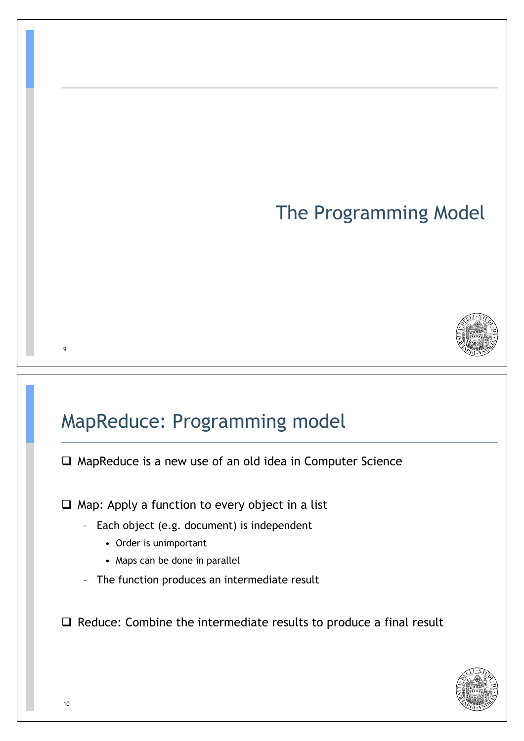# The Programming Model



### MapReduce: Programming model

 $\Box$  MapReduce is a new use of an old idea in Computer Science

 $\Box$  Map: Apply a function to every object in a list

- Each object (e.g. document) is independent
	- Order is unimportant
	- Maps can be done in parallel
- The function produces an intermediate result

 $\Box$  Reduce: Combine the intermediate results to produce a final result

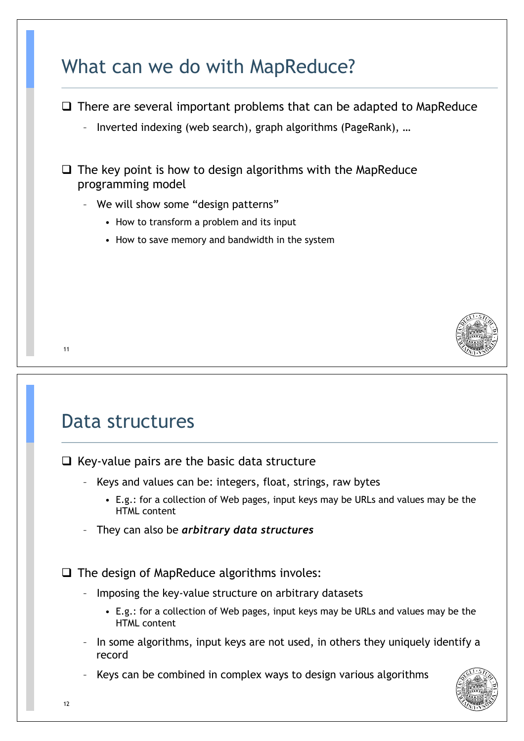|       | There are several important problems that can be adapted to MapReduce<br>Inverted indexing (web search), graph algorithms (PageRank), |
|-------|---------------------------------------------------------------------------------------------------------------------------------------|
| ⊔     | The key point is how to design algorithms with the MapReduce<br>programming model                                                     |
| $ \,$ | We will show some "design patterns"                                                                                                   |
|       | • How to transform a problem and its input                                                                                            |
|       | • How to save memory and bandwidth in the system                                                                                      |
|       |                                                                                                                                       |
| 11    |                                                                                                                                       |

 $\Box$  Key-value pairs are the basic data structure

- Keys and values can be: integers, float, strings, raw bytes
	- E.g.: for a collection of Web pages, input keys may be URLs and values may be the HTML content
- They can also be *arbitrary data structures*

 $\Box$  The design of MapReduce algorithms involes:

- Imposing the key-value structure on arbitrary datasets
	- E.g.: for a collection of Web pages, input keys may be URLs and values may be the HTML content
- In some algorithms, input keys are not used, in others they uniquely identify a record

Keys can be combined in complex ways to design various algorithms

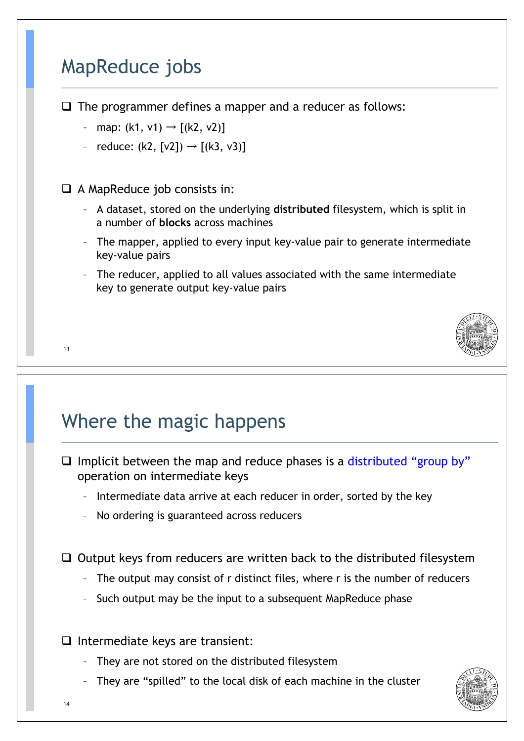### MapReduce jobs

 $\Box$  The programmer defines a mapper and a reducer as follows:

- map:  $(k1, v1) \rightarrow [(k2, v2)]$
- reduce:  $(k2, \lceil v2 \rceil) \rightarrow \lceil (k3, v3) \rceil$

 $\Box$  A MapReduce job consists in:

- A dataset, stored on the underlying **distributed** filesystem, which is split in a number of **blocks** across machines
- The mapper, applied to every input key-value pair to generate intermediate key-value pairs
- The reducer, applied to all values associated with the same intermediate key to generate output key-value pairs



#### 13

# Where the magic happens

- $\Box$  Implicit between the map and reduce phases is a distributed "group by" operation on intermediate keys
	- Intermediate data arrive at each reducer in order, sorted by the key
	- No ordering is guaranteed across reducers

 $\Box$  Output keys from reducers are written back to the distributed filesystem

- The output may consist of r distinct files, where r is the number of reducers
- Such output may be the input to a subsequent MapReduce phase
- $\Box$  Intermediate keys are transient:
	- They are not stored on the distributed filesystem
	- They are "spilled" to the local disk of each machine in the cluster

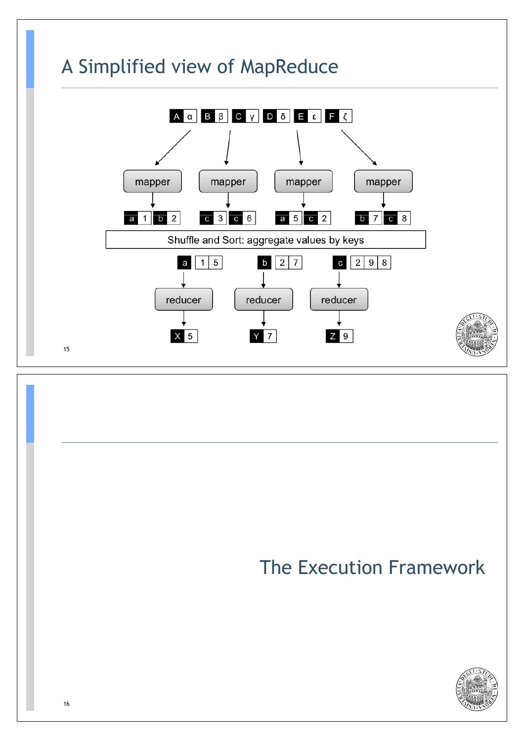

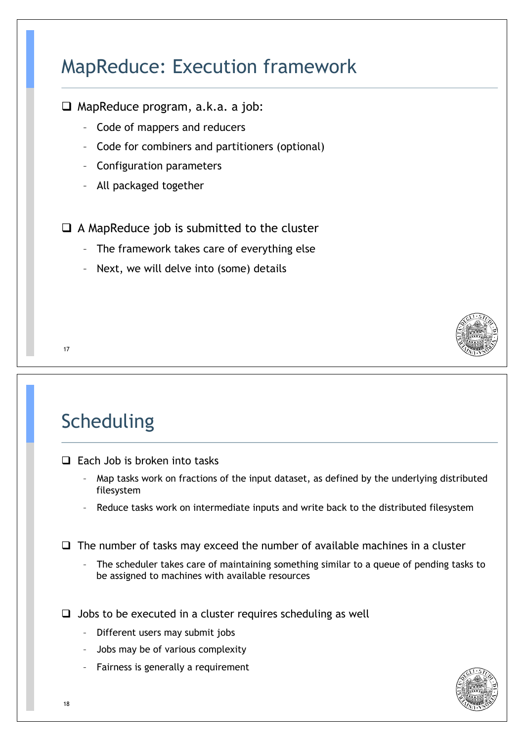# MapReduce: Execution framework

- $\Box$  MapReduce program, a.k.a. a job:
	- Code of mappers and reducers
	- Code for combiners and partitioners (optional)
	- Configuration parameters
	- All packaged together

#### $\Box$  A MapReduce job is submitted to the cluster

- The framework takes care of everything else
- Next, we will delve into (some) details



# Scheduling

- $\Box$  Each Job is broken into tasks
	- Map tasks work on fractions of the input dataset, as defined by the underlying distributed filesystem
	- Reduce tasks work on intermediate inputs and write back to the distributed filesystem

 $\Box$  The number of tasks may exceed the number of available machines in a cluster

– The scheduler takes care of maintaining something similar to a queue of pending tasks to be assigned to machines with available resources

 $\Box$  Jobs to be executed in a cluster requires scheduling as well

- Different users may submit jobs
- Jobs may be of various complexity
- Fairness is generally a requirement

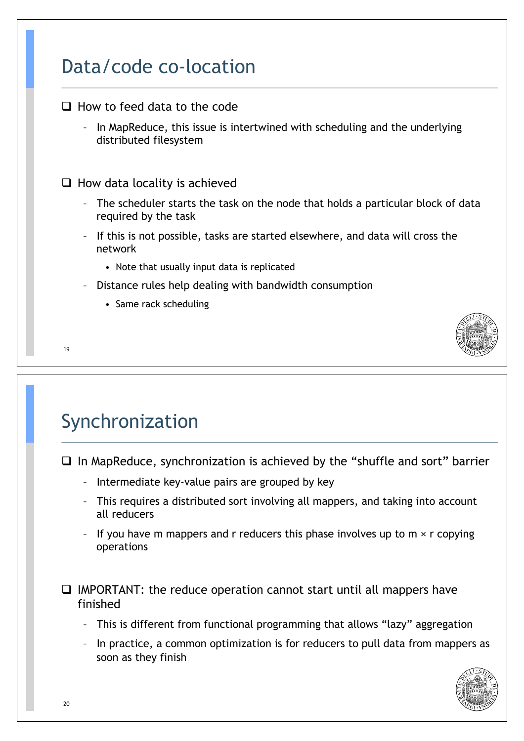### Data/code co-location

 $\Box$  How to feed data to the code – In MapReduce, this issue is intertwined with scheduling and the underlying distributed filesystem  $\Box$  How data locality is achieved The scheduler starts the task on the node that holds a particular block of data required by the task – If this is not possible, tasks are started elsewhere, and data will cross the network • Note that usually input data is replicated – Distance rules help dealing with bandwidth consumption • Same rack scheduling



# Synchronization

! In MapReduce, synchronization is achieved by the "shuffle and sort" barrier

- Intermediate key-value pairs are grouped by key
- This requires a distributed sort involving all mappers, and taking into account all reducers
- If you have m mappers and r reducers this phase involves up to  $m \times r$  copying operations

 $\Box$  IMPORTANT: the reduce operation cannot start until all mappers have finished

- This is different from functional programming that allows "lazy" aggregation
- In practice, a common optimization is for reducers to pull data from mappers as soon as they finish

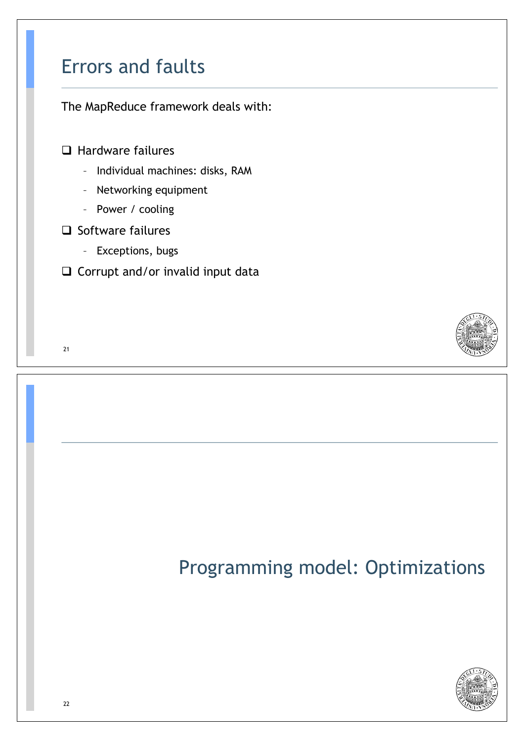### Errors and faults

The MapReduce framework deals with:

 $\Box$  Hardware failures

- Individual machines: disks, RAM
- Networking equipment
- Power / cooling
- $\Box$  Software failures
	- Exceptions, bugs
- $\Box$  Corrupt and/or invalid input data





# Programming model: Optimizations

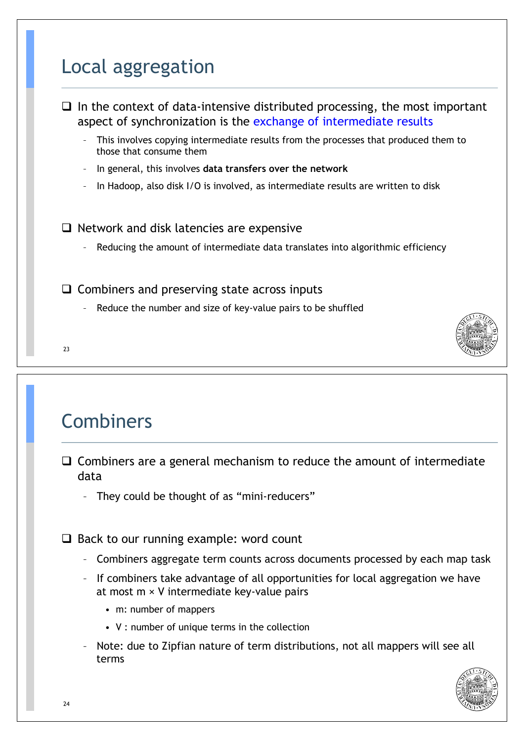## Local aggregation



### Combiners

- $\Box$  Combiners are a general mechanism to reduce the amount of intermediate data
	- They could be thought of as "mini-reducers"

 $\Box$  Back to our running example: word count

- Combiners aggregate term counts across documents processed by each map task
- If combiners take advantage of all opportunities for local aggregation we have at most m × V intermediate key-value pairs
	- m: number of mappers
	- V : number of unique terms in the collection
- Note: due to Zipfian nature of term distributions, not all mappers will see all terms

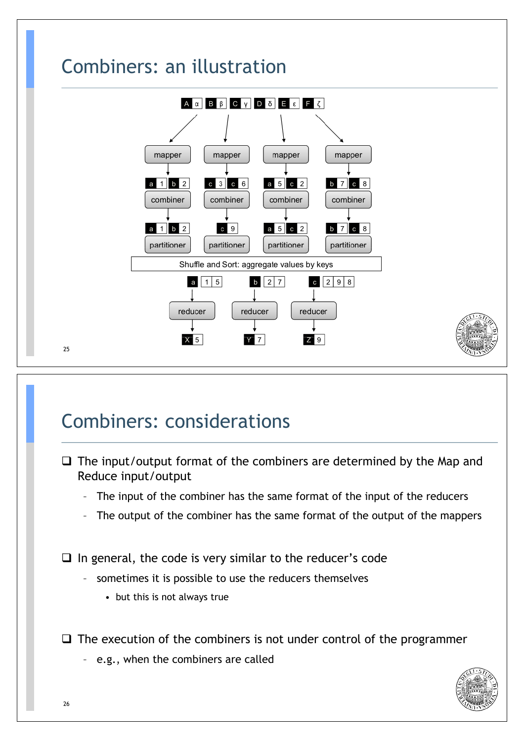

### Combiners: considerations

- $\Box$  The input/output format of the combiners are determined by the Map and Reduce input/output
	- The input of the combiner has the same format of the input of the reducers
	- The output of the combiner has the same format of the output of the mappers

 $\Box$  In general, the code is very similar to the reducer's code

- sometimes it is possible to use the reducers themselves
	- but this is not always true

 $\Box$  The execution of the combiners is not under control of the programmer

– e.g., when the combiners are called

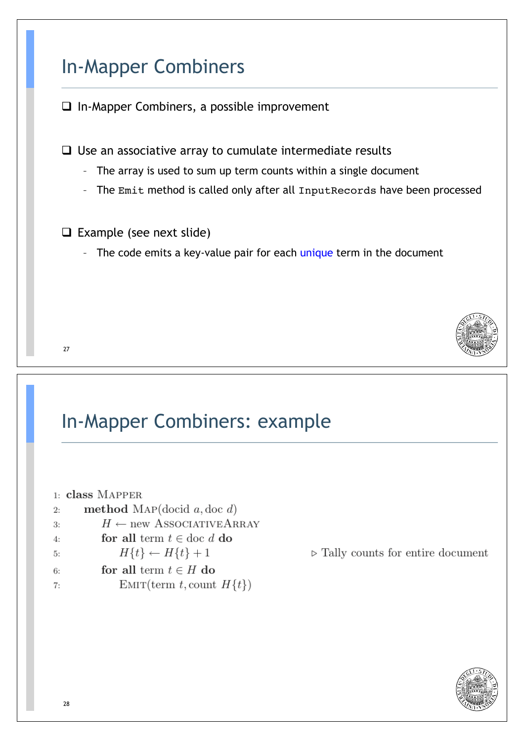## In-Mapper Combiners

 $\Box$  In-Mapper Combiners, a possible improvement

 $\Box$  Use an associative array to cumulate intermediate results

- The array is used to sum up term counts within a single document
- The Emit method is called only after all InputRecords have been processed
- $\Box$  Example (see next slide)
	- The code emits a key-value pair for each unique term in the document



#### In-Mapper Combiners: example

|    | 1: class MAPPER                     |
|----|-------------------------------------|
| 2: | method MAP(docid $a,$ doc $d$ )     |
| 3: | $H \leftarrow$ new ASSOCIATIVEARRAY |
| 4: | for all term $t \in$ doc d do       |
| 5: | $H\{t\} \leftarrow H\{t\} + 1$      |
| 6: | for all term $t \in H$ do           |
| 7: | EMIT(term t, count $H\{t\}$ )       |
|    |                                     |

 $\triangleright$  Tally counts for entire document

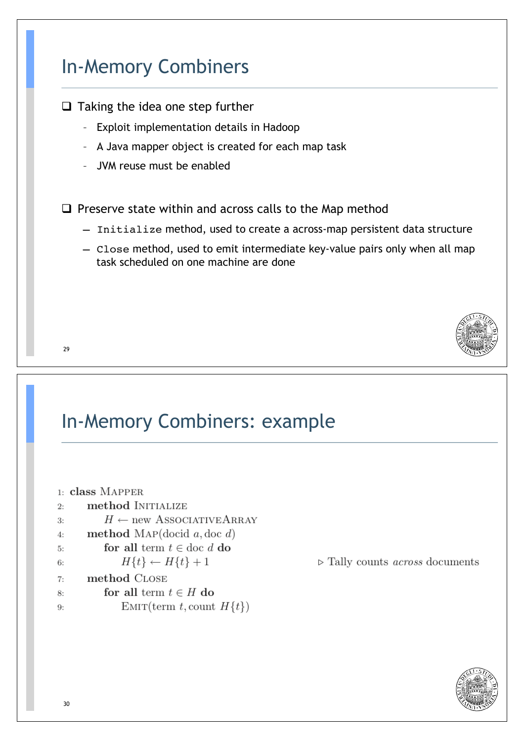### In-Memory Combiners

- $\Box$  Taking the idea one step further
	- Exploit implementation details in Hadoop
	- A Java mapper object is created for each map task
	- JVM reuse must be enabled

 $\Box$  Preserve state within and across calls to the Map method

- Initialize method, used to create a across-map persistent data structure
- Close method, used to emit intermediate key-value pairs only when all map task scheduled on one machine are done



#### 29

#### In-Memory Combiners: example

|    | 1: class MAPPER                       |
|----|---------------------------------------|
| 2: | method INITIALIZE                     |
| 3: | $H \leftarrow$ new ASSOCIATIVE ARRAY  |
| 4: | method MAP(docid $a,$ doc $d$ )       |
| 5: | for all term $t \in \text{doc } d$ do |
| 6: | $H\{t\} \leftarrow H\{t\} + 1$        |
| 7: | method CLOSE                          |
| 8: | for all term $t \in H$ do             |
| 9: | EMIT(term t, count $H\{t\}$ )         |

 $\triangleright$  Tally counts *across* documents